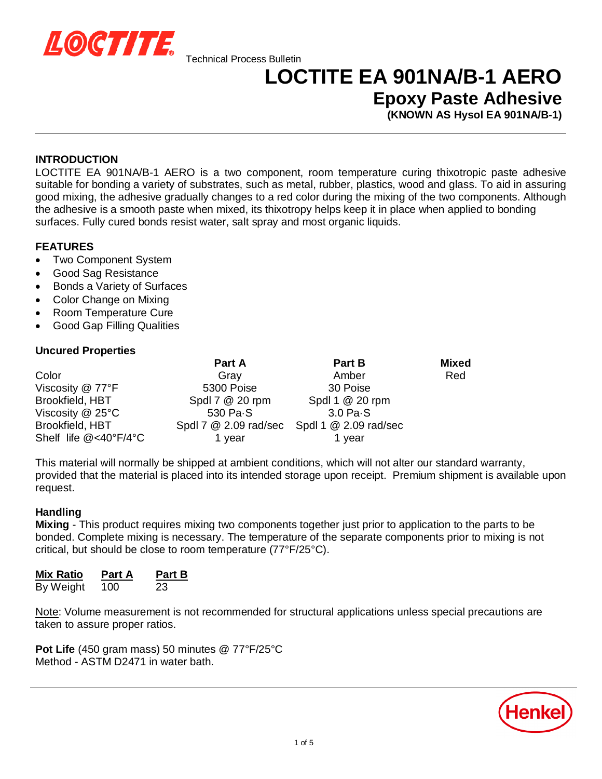

## **LOCTITE EA 901NA/B-1 AERO**

**Epoxy Paste Adhesive**

**(KNOWN AS Hysol EA 901NA/B-1)**

#### **INTRODUCTION**

LOCTITE EA 901NA/B-1 AERO is a two component, room temperature curing thixotropic paste adhesive suitable for bonding a variety of substrates, such as metal, rubber, plastics, wood and glass. To aid in assuring good mixing, the adhesive gradually changes to a red color during the mixing of the two components. Although the adhesive is a smooth paste when mixed, its thixotropy helps keep it in place when applied to bonding surfaces. Fully cured bonds resist water, salt spray and most organic liquids.

#### **FEATURES**

- Two Component System
- Good Sag Resistance
- Bonds a Variety of Surfaces
- **Color Change on Mixing**
- Room Temperature Cure
- Good Gap Filling Qualities

#### **Uncured Properties**

|                                       | Part A          | Part B                                                            | <b>Mixed</b> |
|---------------------------------------|-----------------|-------------------------------------------------------------------|--------------|
| Color                                 | Gray            | Amber                                                             | Red          |
| Viscosity @ 77°F                      | 5300 Poise      | 30 Poise                                                          |              |
| Brookfield, HBT                       | Spdl 7 @ 20 rpm | Spdl 1 @ 20 rpm                                                   |              |
| Viscosity $@$ 25 $°C$                 | 530 Pa.S        | $3.0Pa-S$                                                         |              |
| Brookfield, HBT                       |                 | Spdl $7 \& 2.09 \text{ rad/sec}$ Spdl $1 \& 2.09 \text{ rad/sec}$ |              |
| Shelf life $@<40^{\circ}F/4^{\circ}C$ | 1 year          | 1 year                                                            |              |

This material will normally be shipped at ambient conditions, which will not alter our standard warranty, provided that the material is placed into its intended storage upon receipt. Premium shipment is available upon request.

#### **Handling**

**Mixing** - This product requires mixing two components together just prior to application to the parts to be bonded. Complete mixing is necessary. The temperature of the separate components prior to mixing is not critical, but should be close to room temperature (77°F/25°C).

| <b>Mix Ratio</b> | Part A | Part B |
|------------------|--------|--------|
| By Weight        | 100    | 23     |

Note: Volume measurement is not recommended for structural applications unless special precautions are taken to assure proper ratios.

**Pot Life** (450 gram mass) 50 minutes @ 77°F/25°C Method - ASTM D2471 in water bath.

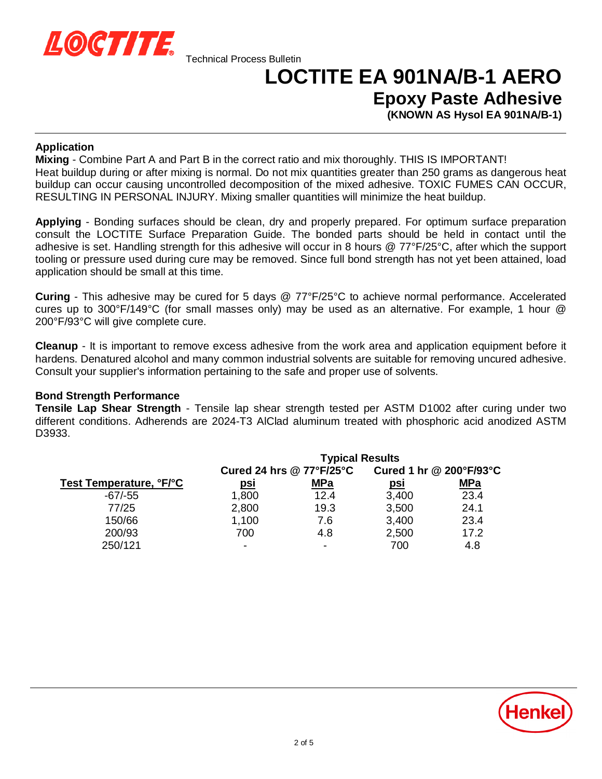

# **LOCTITE EA 901NA/B-1 AERO**

**Epoxy Paste Adhesive**

**(KNOWN AS Hysol EA 901NA/B-1)**

#### **Application**

**Mixing** - Combine Part A and Part B in the correct ratio and mix thoroughly. THIS IS IMPORTANT! Heat buildup during or after mixing is normal. Do not mix quantities greater than 250 grams as dangerous heat buildup can occur causing uncontrolled decomposition of the mixed adhesive. TOXIC FUMES CAN OCCUR, RESULTING IN PERSONAL INJURY. Mixing smaller quantities will minimize the heat buildup.

**Applying** - Bonding surfaces should be clean, dry and properly prepared. For optimum surface preparation consult the LOCTITE Surface Preparation Guide. The bonded parts should be held in contact until the adhesive is set. Handling strength for this adhesive will occur in 8 hours @ 77°F/25°C, after which the support tooling or pressure used during cure may be removed. Since full bond strength has not yet been attained, load application should be small at this time.

**Curing** - This adhesive may be cured for 5 days @ 77°F/25°C to achieve normal performance. Accelerated cures up to 300°F/149°C (for small masses only) may be used as an alternative. For example, 1 hour @ 200°F/93°C will give complete cure.

**Cleanup** - It is important to remove excess adhesive from the work area and application equipment before it hardens. Denatured alcohol and many common industrial solvents are suitable for removing uncured adhesive. Consult your supplier's information pertaining to the safe and proper use of solvents.

#### **Bond Strength Performance**

**Tensile Lap Shear Strength** - Tensile lap shear strength tested per ASTM D1002 after curing under two different conditions. Adherends are 2024-T3 AlClad aluminum treated with phosphoric acid anodized ASTM D3933.

| <b>Typical Results</b> |            |                            |            |
|------------------------|------------|----------------------------|------------|
|                        |            | Cured 1 hr @ 200°F/93°C    |            |
| <u>psi</u>             | <u>MPa</u> | <u>psi</u>                 | <u>MPa</u> |
| 1,800                  | 12.4       | 3,400                      | 23.4       |
| 2,800                  | 19.3       | 3,500                      | 24.1       |
| 1,100                  | 7.6        | 3,400                      | 23.4       |
| 700                    | 4.8        | 2,500                      | 17.2       |
| -                      |            | 700                        | 4.8        |
|                        |            | Cured 24 hrs $@$ 77°F/25°C |            |

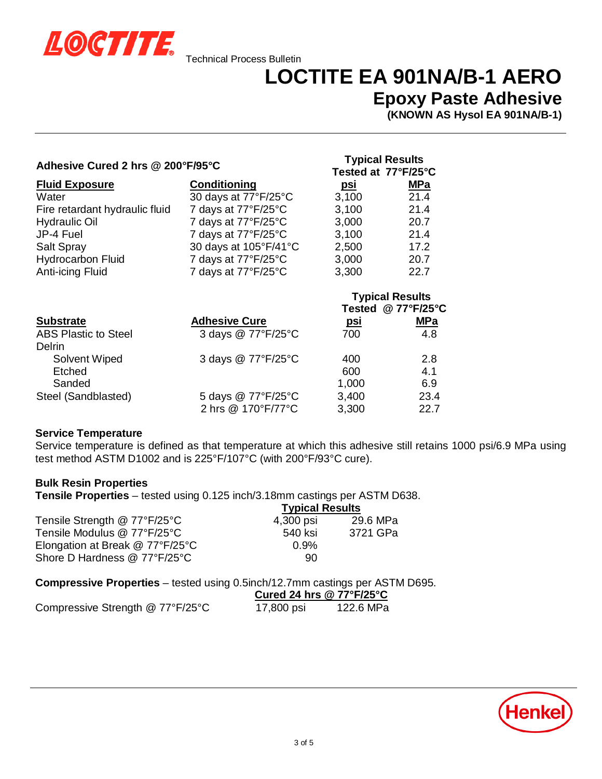

### **LOCTITE EA 901NA/B-1 AERO**

**Tested at 77°F/25°C**

### **Epoxy Paste Adhesive**

**(KNOWN AS Hysol EA 901NA/B-1)**

### **Adhesive Cured 2 hrs @ 200°F/95°C Typical Results**

|                                       |                       | <u>CONG UN II IIEU</u> |                        |
|---------------------------------------|-----------------------|------------------------|------------------------|
| <b>Fluid Exposure</b>                 | Conditioning          | <u>psi</u>             | <b>MPa</b>             |
| Water                                 | 30 days at 77°F/25°C  | 3,100                  | 21.4                   |
| Fire retardant hydraulic fluid        | 7 days at 77°F/25°C   | 3,100                  | 21.4                   |
| <b>Hydraulic Oil</b>                  | 7 days at 77°F/25°C   | 3,000                  | 20.7                   |
| JP-4 Fuel                             | 7 days at 77°F/25°C   | 3,100                  | 21.4                   |
| <b>Salt Spray</b>                     | 30 days at 105°F/41°C | 2,500                  | 17.2                   |
| <b>Hydrocarbon Fluid</b>              | 7 days at 77°F/25°C   | 3,000                  | 20.7                   |
| Anti-icing Fluid                      | 7 days at 77°F/25°C   | 3,300                  | 22.7                   |
|                                       |                       |                        | <b>Typical Results</b> |
|                                       |                       |                        | Tested @ 77°F/25°C     |
| <b>Substrate</b>                      | <b>Adhesive Cure</b>  | <u>psi</u>             | <b>MPa</b>             |
| <b>ABS Plastic to Steel</b><br>Delrin | 3 days @ 77°F/25°C    | 700                    | 4.8                    |
| <b>Solvent Wiped</b>                  | 3 days @ 77°F/25°C    | 400                    | 2.8                    |
| Etched                                |                       | 600                    | 4.1                    |
| Sanded                                |                       | 1,000                  | 6.9                    |
| Steel (Sandblasted)                   | 5 days @ 77°F/25°C    | 3,400                  | 23.4                   |
|                                       | 2 hrs @ 170°F/77°C    | 3,300                  | 22.7                   |

#### **Service Temperature**

Service temperature is defined as that temperature at which this adhesive still retains 1000 psi/6.9 MPa using test method ASTM D1002 and is 225°F/107°C (with 200°F/93°C cure).

#### **Bulk Resin Properties**

**Tensile Properties** – tested using 0.125 inch/3.18mm castings per ASTM D638.

|                                 | <b>Typical Results</b> |          |
|---------------------------------|------------------------|----------|
| Tensile Strength @ 77°F/25°C    | 4,300 psi              | 29.6 MPa |
| Tensile Modulus @ 77°F/25°C     | 540 ksi                | 3721 GPa |
| Elongation at Break @ 77°F/25°C | $0.9\%$                |          |
| Shore D Hardness @ 77°F/25°C    | 90                     |          |

**Compressive Properties** – tested using 0.5inch/12.7mm castings per ASTM D695.

|                                  |            | Cured 24 hrs @ $77^{\circ}$ F/25 $^{\circ}$ C |  |
|----------------------------------|------------|-----------------------------------------------|--|
| Compressive Strength @ 77°F/25°C | 17,800 psi | 122.6 MPa                                     |  |

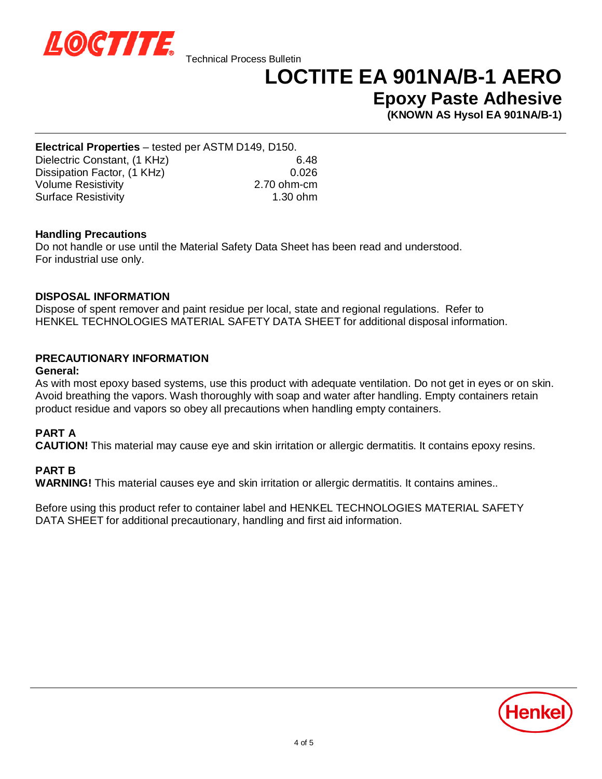

### **LOCTITE EA 901NA/B-1 AERO**

**Epoxy Paste Adhesive**

**(KNOWN AS Hysol EA 901NA/B-1)**

**Electrical Properties** – tested per ASTM D149, D150. Dielectric Constant, (1 KHz) 6.48 Dissipation Factor, (1 KHz) 0.026 Volume Resistivity 2.70 ohm-cm Surface Resistivity 1.30 ohm

#### **Handling Precautions**

Do not handle or use until the Material Safety Data Sheet has been read and understood. For industrial use only.

#### **DISPOSAL INFORMATION**

Dispose of spent remover and paint residue per local, state and regional regulations. Refer to HENKEL TECHNOLOGIES MATERIAL SAFETY DATA SHEET for additional disposal information.

### **PRECAUTIONARY INFORMATION**

#### **General:**

As with most epoxy based systems, use this product with adequate ventilation. Do not get in eyes or on skin. Avoid breathing the vapors. Wash thoroughly with soap and water after handling. Empty containers retain product residue and vapors so obey all precautions when handling empty containers.

#### **PART A**

**CAUTION!** This material may cause eye and skin irritation or allergic dermatitis. It contains epoxy resins.

#### **PART B**

**WARNING!** This material causes eye and skin irritation or allergic dermatitis. It contains amines..

Before using this product refer to container label and HENKEL TECHNOLOGIES MATERIAL SAFETY DATA SHEET for additional precautionary, handling and first aid information.